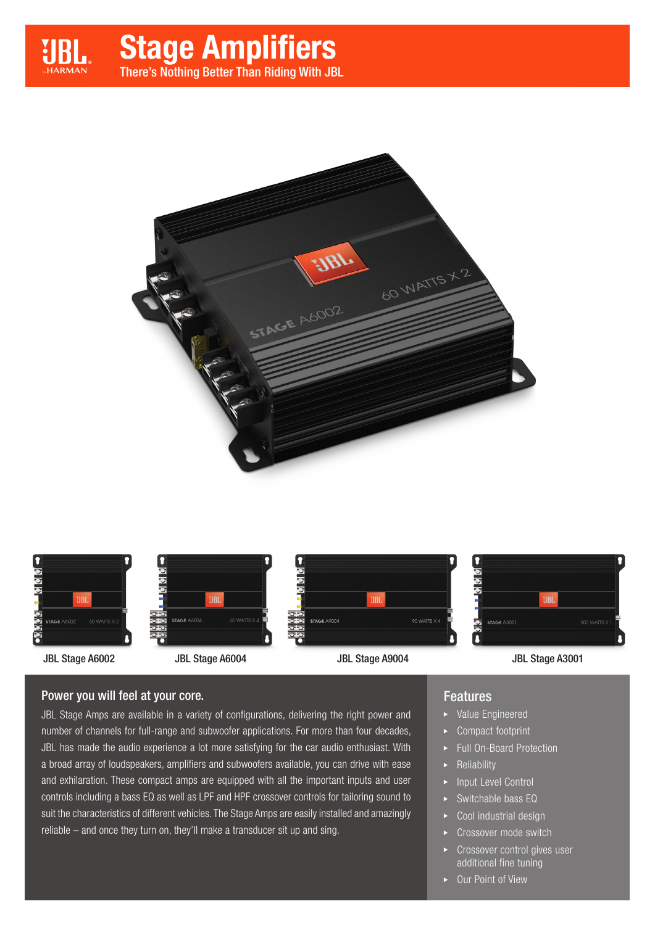







**Q**<br>alaie **UBL STAGE A900** 90 WATTS X 4





JBL Stage A6002 JBL Stage A6004 JBL Stage A9004 JBL Stage A3001

#### Power you will feel at your core.

JBL Stage Amps are available in a variety of configurations, delivering the right power and number of channels for full-range and subwoofer applications. For more than four decades, JBL has made the audio experience a lot more satisfying for the car audio enthusiast. With a broad array of loudspeakers, amplifiers and subwoofers available, you can drive with ease and exhilaration. These compact amps are equipped with all the important inputs and user controls including a bass EQ as well as LPF and HPF crossover controls for tailoring sound to suit the characteristics of different vehicles. The Stage Amps are easily installed and amazingly reliable – and once they turn on, they'll make a transducer sit up and sing.

#### Features

Ā

- Value Engineered
- Compact footprint
- Full On-Board Protection
- Reliability
- Input Level Control
- Switchable bass EQ
- Cool industrial design
- Crossover mode switch
- Crossover control gives user additional fine tuning
- ▶ Our Point of View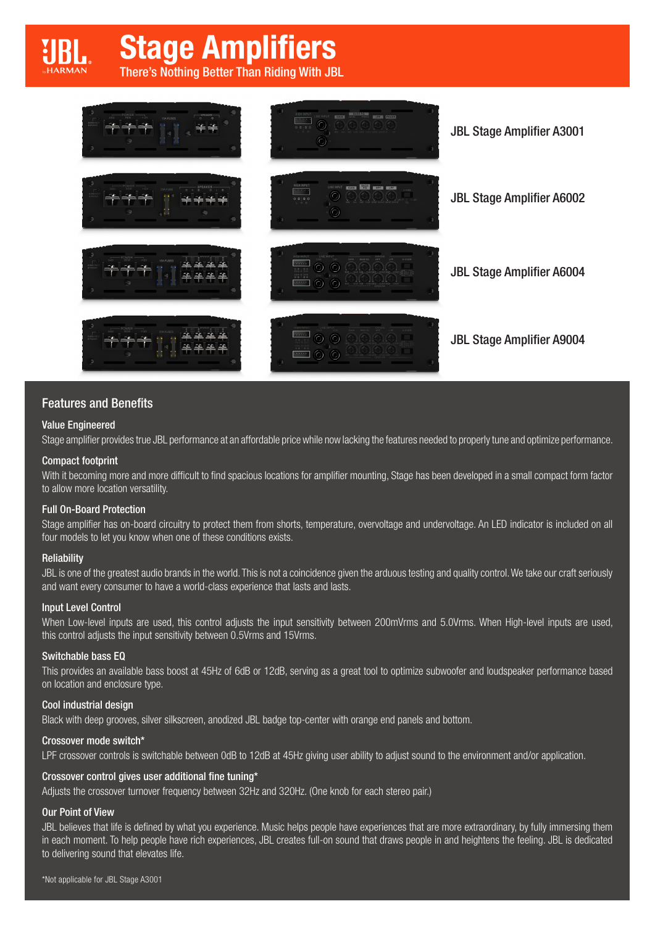# Stage Amplifiers

There's Nothing Better Than Riding With JBL



#### Features and Benefits

#### Value Engineered

Stage amplifier provides true JBL performance at an affordable price while now lacking the features needed to properly tune and optimize performance.

#### Compact footprint

With it becoming more and more difficult to find spacious locations for amplifier mounting, Stage has been developed in a small compact form factor to allow more location versatility.

#### Full On-Board Protection

Stage amplifier has on-board circuitry to protect them from shorts, temperature, overvoltage and undervoltage. An LED indicator is included on all four models to let you know when one of these conditions exists.

#### **Reliability**

JBL is one of the greatest audio brands in the world. This is not a coincidence given the arduous testing and quality control. We take our craft seriously and want every consumer to have a world-class experience that lasts and lasts.

#### Input Level Control

When Low-level inputs are used, this control adjusts the input sensitivity between 200mVrms and 5.0Vrms. When High-level inputs are used, this control adjusts the input sensitivity between 0.5Vrms and 15Vrms.

#### Switchable bass EQ

This provides an available bass boost at 45Hz of 6dB or 12dB, serving as a great tool to optimize subwoofer and loudspeaker performance based on location and enclosure type.

#### Cool industrial design

Black with deep grooves, silver silkscreen, anodized JBL badge top-center with orange end panels and bottom.

#### Crossover mode switch\*

LPF crossover controls is switchable between 0dB to 12dB at 45Hz giving user ability to adjust sound to the environment and/or application.

#### Crossover control gives user additional fine tuning\*

Adjusts the crossover turnover frequency between 32Hz and 320Hz. (One knob for each stereo pair.)

#### Our Point of View

JBL believes that life is defined by what you experience. Music helps people have experiences that are more extraordinary, by fully immersing them in each moment. To help people have rich experiences, JBL creates full-on sound that draws people in and heightens the feeling. JBL is dedicated to delivering sound that elevates life.